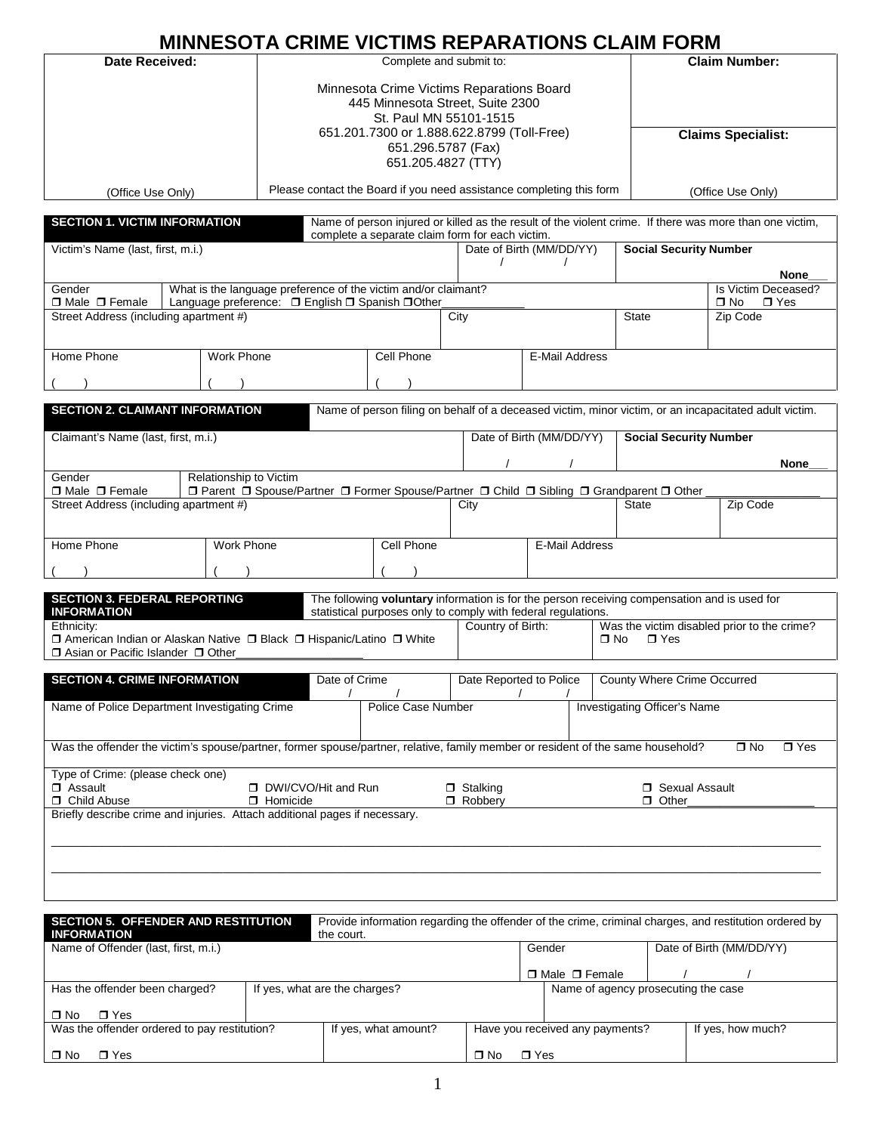# **MINNESOTA CRIME VICTIMS REPARATIONS CLAIM FORM**

| Complete and submit to:<br><b>Date Received:</b><br><b>Claim Number:</b><br>Minnesota Crime Victims Reparations Board<br>445 Minnesota Street, Suite 2300<br>St. Paul MN 55101-1515<br>651.201.7300 or 1.888.622.8799 (Toll-Free)<br><b>Claims Specialist:</b><br>651.296.5787 (Fax)<br>651.205.4827 (TTY)<br>Please contact the Board if you need assistance completing this form<br>(Office Use Only)<br>(Office Use Only)<br><b>SECTION 1. VICTIM INFORMATION</b><br>Name of person injured or killed as the result of the violent crime. If there was more than one victim,<br>complete a separate claim form for each victim.<br>Date of Birth (MM/DD/YY)<br><b>Social Security Number</b><br>Victim's Name (last, first, m.i.)<br><b>None</b><br>Is Victim Deceased?<br>What is the language preference of the victim and/or claimant?<br>Gender<br>□ Male □ Female<br>Language preference: □ English □ Spanish □ Other<br>$\Box$ No<br>$\Box$ Yes<br>Street Address (including apartment #)<br><b>State</b><br>City<br>Zip Code<br>Home Phone<br><b>Work Phone</b><br>Cell Phone<br>E-Mail Address<br><b>SECTION 2. CLAIMANT INFORMATION</b><br>Name of person filing on behalf of a deceased victim, minor victim, or an incapacitated adult victim.<br><b>Social Security Number</b><br>Claimant's Name (last, first, m.i.)<br>Date of Birth (MM/DD/YY)<br>None<br>Relationship to Victim<br>Gender<br>□ Male □ Female<br>□ Parent □ Spouse/Partner □ Former Spouse/Partner □ Child □ Sibling □ Grandparent □ Other<br>Street Address (including apartment #)<br><b>State</b><br>Zip Code<br>City<br>Home Phone<br><b>Cell Phone</b><br>Work Phone<br>E-Mail Address<br><b>SECTION 3. FEDERAL REPORTING</b><br>The following voluntary information is for the person receiving compensation and is used for<br><b>INFORMATION</b><br>statistical purposes only to comply with federal regulations.<br>Country of Birth:<br>Was the victim disabled prior to the crime?<br>Ethnicity:<br>□ American Indian or Alaskan Native □ Black □ Hispanic/Latino □ White<br>$\square$ No<br>$\sqcap$ Yes<br>□ Asian or Pacific Islander □ Other<br><b>SECTION 4. CRIME INFORMATION</b><br>Date of Crime<br>Date Reported to Police   County Where Crime Occurred<br>$\prime$<br>Name of Police Department Investigating Crime<br><b>Investigating Officer's Name</b><br>Police Case Number<br>Was the offender the victim's spouse/partner, former spouse/partner, relative, family member or resident of the same household?<br>$\Box$ No<br>$\Box$ Yes<br>Type of Crime: (please check one)<br>□ Assault<br>DWI/CVO/Hit and Run<br>$\Box$ Stalking<br>□ Sexual Assault<br>□ Child Abuse<br>Robbery<br><b>D</b> Homicide<br>$\Box$ Other<br>Briefly describe crime and injuries. Attach additional pages if necessary.<br>Provide information regarding the offender of the crime, criminal charges, and restitution ordered by<br>SECTION 5. OFFENDER AND RESTITUTION<br><b>INFORMATION</b><br>the court.<br>Name of Offender (last, first, m.i.)<br>Date of Birth (MM/DD/YY)<br>Gender<br>□ Male □ Female<br>If yes, what are the charges?<br>Name of agency prosecuting the case<br>Has the offender been charged? | <u>MINNESOTA CRIME VICTIMS REPARATIONS CLAIM FORM</u> |  |  |  |
|----------------------------------------------------------------------------------------------------------------------------------------------------------------------------------------------------------------------------------------------------------------------------------------------------------------------------------------------------------------------------------------------------------------------------------------------------------------------------------------------------------------------------------------------------------------------------------------------------------------------------------------------------------------------------------------------------------------------------------------------------------------------------------------------------------------------------------------------------------------------------------------------------------------------------------------------------------------------------------------------------------------------------------------------------------------------------------------------------------------------------------------------------------------------------------------------------------------------------------------------------------------------------------------------------------------------------------------------------------------------------------------------------------------------------------------------------------------------------------------------------------------------------------------------------------------------------------------------------------------------------------------------------------------------------------------------------------------------------------------------------------------------------------------------------------------------------------------------------------------------------------------------------------------------------------------------------------------------------------------------------------------------------------------------------------------------------------------------------------------------------------------------------------------------------------------------------------------------------------------------------------------------------------------------------------------------------------------------------------------------------------------------------------------------------------------------------------------------------------------------------------------------------------------------------------------------------------------------------------------------------------------------------------------------------------------------------------------------------------------------------------------------------------------------------------------------------------------------------------------------------------------------------------------------------------------------------------------------------------------------------------------------------------------------------------------------------------------------------------------------------------------------------------------------------------------------------------------------|-------------------------------------------------------|--|--|--|
|                                                                                                                                                                                                                                                                                                                                                                                                                                                                                                                                                                                                                                                                                                                                                                                                                                                                                                                                                                                                                                                                                                                                                                                                                                                                                                                                                                                                                                                                                                                                                                                                                                                                                                                                                                                                                                                                                                                                                                                                                                                                                                                                                                                                                                                                                                                                                                                                                                                                                                                                                                                                                                                                                                                                                                                                                                                                                                                                                                                                                                                                                                                                                                                                                      |                                                       |  |  |  |
|                                                                                                                                                                                                                                                                                                                                                                                                                                                                                                                                                                                                                                                                                                                                                                                                                                                                                                                                                                                                                                                                                                                                                                                                                                                                                                                                                                                                                                                                                                                                                                                                                                                                                                                                                                                                                                                                                                                                                                                                                                                                                                                                                                                                                                                                                                                                                                                                                                                                                                                                                                                                                                                                                                                                                                                                                                                                                                                                                                                                                                                                                                                                                                                                                      |                                                       |  |  |  |
|                                                                                                                                                                                                                                                                                                                                                                                                                                                                                                                                                                                                                                                                                                                                                                                                                                                                                                                                                                                                                                                                                                                                                                                                                                                                                                                                                                                                                                                                                                                                                                                                                                                                                                                                                                                                                                                                                                                                                                                                                                                                                                                                                                                                                                                                                                                                                                                                                                                                                                                                                                                                                                                                                                                                                                                                                                                                                                                                                                                                                                                                                                                                                                                                                      |                                                       |  |  |  |
|                                                                                                                                                                                                                                                                                                                                                                                                                                                                                                                                                                                                                                                                                                                                                                                                                                                                                                                                                                                                                                                                                                                                                                                                                                                                                                                                                                                                                                                                                                                                                                                                                                                                                                                                                                                                                                                                                                                                                                                                                                                                                                                                                                                                                                                                                                                                                                                                                                                                                                                                                                                                                                                                                                                                                                                                                                                                                                                                                                                                                                                                                                                                                                                                                      |                                                       |  |  |  |
|                                                                                                                                                                                                                                                                                                                                                                                                                                                                                                                                                                                                                                                                                                                                                                                                                                                                                                                                                                                                                                                                                                                                                                                                                                                                                                                                                                                                                                                                                                                                                                                                                                                                                                                                                                                                                                                                                                                                                                                                                                                                                                                                                                                                                                                                                                                                                                                                                                                                                                                                                                                                                                                                                                                                                                                                                                                                                                                                                                                                                                                                                                                                                                                                                      |                                                       |  |  |  |
|                                                                                                                                                                                                                                                                                                                                                                                                                                                                                                                                                                                                                                                                                                                                                                                                                                                                                                                                                                                                                                                                                                                                                                                                                                                                                                                                                                                                                                                                                                                                                                                                                                                                                                                                                                                                                                                                                                                                                                                                                                                                                                                                                                                                                                                                                                                                                                                                                                                                                                                                                                                                                                                                                                                                                                                                                                                                                                                                                                                                                                                                                                                                                                                                                      |                                                       |  |  |  |
|                                                                                                                                                                                                                                                                                                                                                                                                                                                                                                                                                                                                                                                                                                                                                                                                                                                                                                                                                                                                                                                                                                                                                                                                                                                                                                                                                                                                                                                                                                                                                                                                                                                                                                                                                                                                                                                                                                                                                                                                                                                                                                                                                                                                                                                                                                                                                                                                                                                                                                                                                                                                                                                                                                                                                                                                                                                                                                                                                                                                                                                                                                                                                                                                                      |                                                       |  |  |  |
|                                                                                                                                                                                                                                                                                                                                                                                                                                                                                                                                                                                                                                                                                                                                                                                                                                                                                                                                                                                                                                                                                                                                                                                                                                                                                                                                                                                                                                                                                                                                                                                                                                                                                                                                                                                                                                                                                                                                                                                                                                                                                                                                                                                                                                                                                                                                                                                                                                                                                                                                                                                                                                                                                                                                                                                                                                                                                                                                                                                                                                                                                                                                                                                                                      |                                                       |  |  |  |
|                                                                                                                                                                                                                                                                                                                                                                                                                                                                                                                                                                                                                                                                                                                                                                                                                                                                                                                                                                                                                                                                                                                                                                                                                                                                                                                                                                                                                                                                                                                                                                                                                                                                                                                                                                                                                                                                                                                                                                                                                                                                                                                                                                                                                                                                                                                                                                                                                                                                                                                                                                                                                                                                                                                                                                                                                                                                                                                                                                                                                                                                                                                                                                                                                      |                                                       |  |  |  |
|                                                                                                                                                                                                                                                                                                                                                                                                                                                                                                                                                                                                                                                                                                                                                                                                                                                                                                                                                                                                                                                                                                                                                                                                                                                                                                                                                                                                                                                                                                                                                                                                                                                                                                                                                                                                                                                                                                                                                                                                                                                                                                                                                                                                                                                                                                                                                                                                                                                                                                                                                                                                                                                                                                                                                                                                                                                                                                                                                                                                                                                                                                                                                                                                                      |                                                       |  |  |  |
|                                                                                                                                                                                                                                                                                                                                                                                                                                                                                                                                                                                                                                                                                                                                                                                                                                                                                                                                                                                                                                                                                                                                                                                                                                                                                                                                                                                                                                                                                                                                                                                                                                                                                                                                                                                                                                                                                                                                                                                                                                                                                                                                                                                                                                                                                                                                                                                                                                                                                                                                                                                                                                                                                                                                                                                                                                                                                                                                                                                                                                                                                                                                                                                                                      |                                                       |  |  |  |
|                                                                                                                                                                                                                                                                                                                                                                                                                                                                                                                                                                                                                                                                                                                                                                                                                                                                                                                                                                                                                                                                                                                                                                                                                                                                                                                                                                                                                                                                                                                                                                                                                                                                                                                                                                                                                                                                                                                                                                                                                                                                                                                                                                                                                                                                                                                                                                                                                                                                                                                                                                                                                                                                                                                                                                                                                                                                                                                                                                                                                                                                                                                                                                                                                      |                                                       |  |  |  |
|                                                                                                                                                                                                                                                                                                                                                                                                                                                                                                                                                                                                                                                                                                                                                                                                                                                                                                                                                                                                                                                                                                                                                                                                                                                                                                                                                                                                                                                                                                                                                                                                                                                                                                                                                                                                                                                                                                                                                                                                                                                                                                                                                                                                                                                                                                                                                                                                                                                                                                                                                                                                                                                                                                                                                                                                                                                                                                                                                                                                                                                                                                                                                                                                                      |                                                       |  |  |  |
|                                                                                                                                                                                                                                                                                                                                                                                                                                                                                                                                                                                                                                                                                                                                                                                                                                                                                                                                                                                                                                                                                                                                                                                                                                                                                                                                                                                                                                                                                                                                                                                                                                                                                                                                                                                                                                                                                                                                                                                                                                                                                                                                                                                                                                                                                                                                                                                                                                                                                                                                                                                                                                                                                                                                                                                                                                                                                                                                                                                                                                                                                                                                                                                                                      |                                                       |  |  |  |
|                                                                                                                                                                                                                                                                                                                                                                                                                                                                                                                                                                                                                                                                                                                                                                                                                                                                                                                                                                                                                                                                                                                                                                                                                                                                                                                                                                                                                                                                                                                                                                                                                                                                                                                                                                                                                                                                                                                                                                                                                                                                                                                                                                                                                                                                                                                                                                                                                                                                                                                                                                                                                                                                                                                                                                                                                                                                                                                                                                                                                                                                                                                                                                                                                      |                                                       |  |  |  |
|                                                                                                                                                                                                                                                                                                                                                                                                                                                                                                                                                                                                                                                                                                                                                                                                                                                                                                                                                                                                                                                                                                                                                                                                                                                                                                                                                                                                                                                                                                                                                                                                                                                                                                                                                                                                                                                                                                                                                                                                                                                                                                                                                                                                                                                                                                                                                                                                                                                                                                                                                                                                                                                                                                                                                                                                                                                                                                                                                                                                                                                                                                                                                                                                                      |                                                       |  |  |  |
|                                                                                                                                                                                                                                                                                                                                                                                                                                                                                                                                                                                                                                                                                                                                                                                                                                                                                                                                                                                                                                                                                                                                                                                                                                                                                                                                                                                                                                                                                                                                                                                                                                                                                                                                                                                                                                                                                                                                                                                                                                                                                                                                                                                                                                                                                                                                                                                                                                                                                                                                                                                                                                                                                                                                                                                                                                                                                                                                                                                                                                                                                                                                                                                                                      |                                                       |  |  |  |
|                                                                                                                                                                                                                                                                                                                                                                                                                                                                                                                                                                                                                                                                                                                                                                                                                                                                                                                                                                                                                                                                                                                                                                                                                                                                                                                                                                                                                                                                                                                                                                                                                                                                                                                                                                                                                                                                                                                                                                                                                                                                                                                                                                                                                                                                                                                                                                                                                                                                                                                                                                                                                                                                                                                                                                                                                                                                                                                                                                                                                                                                                                                                                                                                                      |                                                       |  |  |  |
|                                                                                                                                                                                                                                                                                                                                                                                                                                                                                                                                                                                                                                                                                                                                                                                                                                                                                                                                                                                                                                                                                                                                                                                                                                                                                                                                                                                                                                                                                                                                                                                                                                                                                                                                                                                                                                                                                                                                                                                                                                                                                                                                                                                                                                                                                                                                                                                                                                                                                                                                                                                                                                                                                                                                                                                                                                                                                                                                                                                                                                                                                                                                                                                                                      |                                                       |  |  |  |
|                                                                                                                                                                                                                                                                                                                                                                                                                                                                                                                                                                                                                                                                                                                                                                                                                                                                                                                                                                                                                                                                                                                                                                                                                                                                                                                                                                                                                                                                                                                                                                                                                                                                                                                                                                                                                                                                                                                                                                                                                                                                                                                                                                                                                                                                                                                                                                                                                                                                                                                                                                                                                                                                                                                                                                                                                                                                                                                                                                                                                                                                                                                                                                                                                      |                                                       |  |  |  |
|                                                                                                                                                                                                                                                                                                                                                                                                                                                                                                                                                                                                                                                                                                                                                                                                                                                                                                                                                                                                                                                                                                                                                                                                                                                                                                                                                                                                                                                                                                                                                                                                                                                                                                                                                                                                                                                                                                                                                                                                                                                                                                                                                                                                                                                                                                                                                                                                                                                                                                                                                                                                                                                                                                                                                                                                                                                                                                                                                                                                                                                                                                                                                                                                                      |                                                       |  |  |  |
|                                                                                                                                                                                                                                                                                                                                                                                                                                                                                                                                                                                                                                                                                                                                                                                                                                                                                                                                                                                                                                                                                                                                                                                                                                                                                                                                                                                                                                                                                                                                                                                                                                                                                                                                                                                                                                                                                                                                                                                                                                                                                                                                                                                                                                                                                                                                                                                                                                                                                                                                                                                                                                                                                                                                                                                                                                                                                                                                                                                                                                                                                                                                                                                                                      |                                                       |  |  |  |
|                                                                                                                                                                                                                                                                                                                                                                                                                                                                                                                                                                                                                                                                                                                                                                                                                                                                                                                                                                                                                                                                                                                                                                                                                                                                                                                                                                                                                                                                                                                                                                                                                                                                                                                                                                                                                                                                                                                                                                                                                                                                                                                                                                                                                                                                                                                                                                                                                                                                                                                                                                                                                                                                                                                                                                                                                                                                                                                                                                                                                                                                                                                                                                                                                      |                                                       |  |  |  |
|                                                                                                                                                                                                                                                                                                                                                                                                                                                                                                                                                                                                                                                                                                                                                                                                                                                                                                                                                                                                                                                                                                                                                                                                                                                                                                                                                                                                                                                                                                                                                                                                                                                                                                                                                                                                                                                                                                                                                                                                                                                                                                                                                                                                                                                                                                                                                                                                                                                                                                                                                                                                                                                                                                                                                                                                                                                                                                                                                                                                                                                                                                                                                                                                                      |                                                       |  |  |  |
|                                                                                                                                                                                                                                                                                                                                                                                                                                                                                                                                                                                                                                                                                                                                                                                                                                                                                                                                                                                                                                                                                                                                                                                                                                                                                                                                                                                                                                                                                                                                                                                                                                                                                                                                                                                                                                                                                                                                                                                                                                                                                                                                                                                                                                                                                                                                                                                                                                                                                                                                                                                                                                                                                                                                                                                                                                                                                                                                                                                                                                                                                                                                                                                                                      |                                                       |  |  |  |
|                                                                                                                                                                                                                                                                                                                                                                                                                                                                                                                                                                                                                                                                                                                                                                                                                                                                                                                                                                                                                                                                                                                                                                                                                                                                                                                                                                                                                                                                                                                                                                                                                                                                                                                                                                                                                                                                                                                                                                                                                                                                                                                                                                                                                                                                                                                                                                                                                                                                                                                                                                                                                                                                                                                                                                                                                                                                                                                                                                                                                                                                                                                                                                                                                      |                                                       |  |  |  |
|                                                                                                                                                                                                                                                                                                                                                                                                                                                                                                                                                                                                                                                                                                                                                                                                                                                                                                                                                                                                                                                                                                                                                                                                                                                                                                                                                                                                                                                                                                                                                                                                                                                                                                                                                                                                                                                                                                                                                                                                                                                                                                                                                                                                                                                                                                                                                                                                                                                                                                                                                                                                                                                                                                                                                                                                                                                                                                                                                                                                                                                                                                                                                                                                                      |                                                       |  |  |  |
|                                                                                                                                                                                                                                                                                                                                                                                                                                                                                                                                                                                                                                                                                                                                                                                                                                                                                                                                                                                                                                                                                                                                                                                                                                                                                                                                                                                                                                                                                                                                                                                                                                                                                                                                                                                                                                                                                                                                                                                                                                                                                                                                                                                                                                                                                                                                                                                                                                                                                                                                                                                                                                                                                                                                                                                                                                                                                                                                                                                                                                                                                                                                                                                                                      |                                                       |  |  |  |
|                                                                                                                                                                                                                                                                                                                                                                                                                                                                                                                                                                                                                                                                                                                                                                                                                                                                                                                                                                                                                                                                                                                                                                                                                                                                                                                                                                                                                                                                                                                                                                                                                                                                                                                                                                                                                                                                                                                                                                                                                                                                                                                                                                                                                                                                                                                                                                                                                                                                                                                                                                                                                                                                                                                                                                                                                                                                                                                                                                                                                                                                                                                                                                                                                      |                                                       |  |  |  |
|                                                                                                                                                                                                                                                                                                                                                                                                                                                                                                                                                                                                                                                                                                                                                                                                                                                                                                                                                                                                                                                                                                                                                                                                                                                                                                                                                                                                                                                                                                                                                                                                                                                                                                                                                                                                                                                                                                                                                                                                                                                                                                                                                                                                                                                                                                                                                                                                                                                                                                                                                                                                                                                                                                                                                                                                                                                                                                                                                                                                                                                                                                                                                                                                                      |                                                       |  |  |  |
|                                                                                                                                                                                                                                                                                                                                                                                                                                                                                                                                                                                                                                                                                                                                                                                                                                                                                                                                                                                                                                                                                                                                                                                                                                                                                                                                                                                                                                                                                                                                                                                                                                                                                                                                                                                                                                                                                                                                                                                                                                                                                                                                                                                                                                                                                                                                                                                                                                                                                                                                                                                                                                                                                                                                                                                                                                                                                                                                                                                                                                                                                                                                                                                                                      |                                                       |  |  |  |
|                                                                                                                                                                                                                                                                                                                                                                                                                                                                                                                                                                                                                                                                                                                                                                                                                                                                                                                                                                                                                                                                                                                                                                                                                                                                                                                                                                                                                                                                                                                                                                                                                                                                                                                                                                                                                                                                                                                                                                                                                                                                                                                                                                                                                                                                                                                                                                                                                                                                                                                                                                                                                                                                                                                                                                                                                                                                                                                                                                                                                                                                                                                                                                                                                      |                                                       |  |  |  |
|                                                                                                                                                                                                                                                                                                                                                                                                                                                                                                                                                                                                                                                                                                                                                                                                                                                                                                                                                                                                                                                                                                                                                                                                                                                                                                                                                                                                                                                                                                                                                                                                                                                                                                                                                                                                                                                                                                                                                                                                                                                                                                                                                                                                                                                                                                                                                                                                                                                                                                                                                                                                                                                                                                                                                                                                                                                                                                                                                                                                                                                                                                                                                                                                                      |                                                       |  |  |  |
|                                                                                                                                                                                                                                                                                                                                                                                                                                                                                                                                                                                                                                                                                                                                                                                                                                                                                                                                                                                                                                                                                                                                                                                                                                                                                                                                                                                                                                                                                                                                                                                                                                                                                                                                                                                                                                                                                                                                                                                                                                                                                                                                                                                                                                                                                                                                                                                                                                                                                                                                                                                                                                                                                                                                                                                                                                                                                                                                                                                                                                                                                                                                                                                                                      |                                                       |  |  |  |
|                                                                                                                                                                                                                                                                                                                                                                                                                                                                                                                                                                                                                                                                                                                                                                                                                                                                                                                                                                                                                                                                                                                                                                                                                                                                                                                                                                                                                                                                                                                                                                                                                                                                                                                                                                                                                                                                                                                                                                                                                                                                                                                                                                                                                                                                                                                                                                                                                                                                                                                                                                                                                                                                                                                                                                                                                                                                                                                                                                                                                                                                                                                                                                                                                      |                                                       |  |  |  |
|                                                                                                                                                                                                                                                                                                                                                                                                                                                                                                                                                                                                                                                                                                                                                                                                                                                                                                                                                                                                                                                                                                                                                                                                                                                                                                                                                                                                                                                                                                                                                                                                                                                                                                                                                                                                                                                                                                                                                                                                                                                                                                                                                                                                                                                                                                                                                                                                                                                                                                                                                                                                                                                                                                                                                                                                                                                                                                                                                                                                                                                                                                                                                                                                                      |                                                       |  |  |  |
|                                                                                                                                                                                                                                                                                                                                                                                                                                                                                                                                                                                                                                                                                                                                                                                                                                                                                                                                                                                                                                                                                                                                                                                                                                                                                                                                                                                                                                                                                                                                                                                                                                                                                                                                                                                                                                                                                                                                                                                                                                                                                                                                                                                                                                                                                                                                                                                                                                                                                                                                                                                                                                                                                                                                                                                                                                                                                                                                                                                                                                                                                                                                                                                                                      |                                                       |  |  |  |
|                                                                                                                                                                                                                                                                                                                                                                                                                                                                                                                                                                                                                                                                                                                                                                                                                                                                                                                                                                                                                                                                                                                                                                                                                                                                                                                                                                                                                                                                                                                                                                                                                                                                                                                                                                                                                                                                                                                                                                                                                                                                                                                                                                                                                                                                                                                                                                                                                                                                                                                                                                                                                                                                                                                                                                                                                                                                                                                                                                                                                                                                                                                                                                                                                      |                                                       |  |  |  |
|                                                                                                                                                                                                                                                                                                                                                                                                                                                                                                                                                                                                                                                                                                                                                                                                                                                                                                                                                                                                                                                                                                                                                                                                                                                                                                                                                                                                                                                                                                                                                                                                                                                                                                                                                                                                                                                                                                                                                                                                                                                                                                                                                                                                                                                                                                                                                                                                                                                                                                                                                                                                                                                                                                                                                                                                                                                                                                                                                                                                                                                                                                                                                                                                                      |                                                       |  |  |  |
|                                                                                                                                                                                                                                                                                                                                                                                                                                                                                                                                                                                                                                                                                                                                                                                                                                                                                                                                                                                                                                                                                                                                                                                                                                                                                                                                                                                                                                                                                                                                                                                                                                                                                                                                                                                                                                                                                                                                                                                                                                                                                                                                                                                                                                                                                                                                                                                                                                                                                                                                                                                                                                                                                                                                                                                                                                                                                                                                                                                                                                                                                                                                                                                                                      |                                                       |  |  |  |
|                                                                                                                                                                                                                                                                                                                                                                                                                                                                                                                                                                                                                                                                                                                                                                                                                                                                                                                                                                                                                                                                                                                                                                                                                                                                                                                                                                                                                                                                                                                                                                                                                                                                                                                                                                                                                                                                                                                                                                                                                                                                                                                                                                                                                                                                                                                                                                                                                                                                                                                                                                                                                                                                                                                                                                                                                                                                                                                                                                                                                                                                                                                                                                                                                      |                                                       |  |  |  |
|                                                                                                                                                                                                                                                                                                                                                                                                                                                                                                                                                                                                                                                                                                                                                                                                                                                                                                                                                                                                                                                                                                                                                                                                                                                                                                                                                                                                                                                                                                                                                                                                                                                                                                                                                                                                                                                                                                                                                                                                                                                                                                                                                                                                                                                                                                                                                                                                                                                                                                                                                                                                                                                                                                                                                                                                                                                                                                                                                                                                                                                                                                                                                                                                                      |                                                       |  |  |  |
|                                                                                                                                                                                                                                                                                                                                                                                                                                                                                                                                                                                                                                                                                                                                                                                                                                                                                                                                                                                                                                                                                                                                                                                                                                                                                                                                                                                                                                                                                                                                                                                                                                                                                                                                                                                                                                                                                                                                                                                                                                                                                                                                                                                                                                                                                                                                                                                                                                                                                                                                                                                                                                                                                                                                                                                                                                                                                                                                                                                                                                                                                                                                                                                                                      |                                                       |  |  |  |
|                                                                                                                                                                                                                                                                                                                                                                                                                                                                                                                                                                                                                                                                                                                                                                                                                                                                                                                                                                                                                                                                                                                                                                                                                                                                                                                                                                                                                                                                                                                                                                                                                                                                                                                                                                                                                                                                                                                                                                                                                                                                                                                                                                                                                                                                                                                                                                                                                                                                                                                                                                                                                                                                                                                                                                                                                                                                                                                                                                                                                                                                                                                                                                                                                      |                                                       |  |  |  |
|                                                                                                                                                                                                                                                                                                                                                                                                                                                                                                                                                                                                                                                                                                                                                                                                                                                                                                                                                                                                                                                                                                                                                                                                                                                                                                                                                                                                                                                                                                                                                                                                                                                                                                                                                                                                                                                                                                                                                                                                                                                                                                                                                                                                                                                                                                                                                                                                                                                                                                                                                                                                                                                                                                                                                                                                                                                                                                                                                                                                                                                                                                                                                                                                                      |                                                       |  |  |  |
|                                                                                                                                                                                                                                                                                                                                                                                                                                                                                                                                                                                                                                                                                                                                                                                                                                                                                                                                                                                                                                                                                                                                                                                                                                                                                                                                                                                                                                                                                                                                                                                                                                                                                                                                                                                                                                                                                                                                                                                                                                                                                                                                                                                                                                                                                                                                                                                                                                                                                                                                                                                                                                                                                                                                                                                                                                                                                                                                                                                                                                                                                                                                                                                                                      |                                                       |  |  |  |
|                                                                                                                                                                                                                                                                                                                                                                                                                                                                                                                                                                                                                                                                                                                                                                                                                                                                                                                                                                                                                                                                                                                                                                                                                                                                                                                                                                                                                                                                                                                                                                                                                                                                                                                                                                                                                                                                                                                                                                                                                                                                                                                                                                                                                                                                                                                                                                                                                                                                                                                                                                                                                                                                                                                                                                                                                                                                                                                                                                                                                                                                                                                                                                                                                      |                                                       |  |  |  |

| $\Box$ No | $\blacksquare$ Yes                           |                      |                                 |                                 |                   |
|-----------|----------------------------------------------|----------------------|---------------------------------|---------------------------------|-------------------|
|           | Was the offender ordered to pay restitution? | If yes, what amount? |                                 | Have you received any payments? | If yes, how much? |
| $\Box$ No | $\blacksquare$ Yes                           |                      | $\neg$ No<br>$\blacksquare$ Yes |                                 |                   |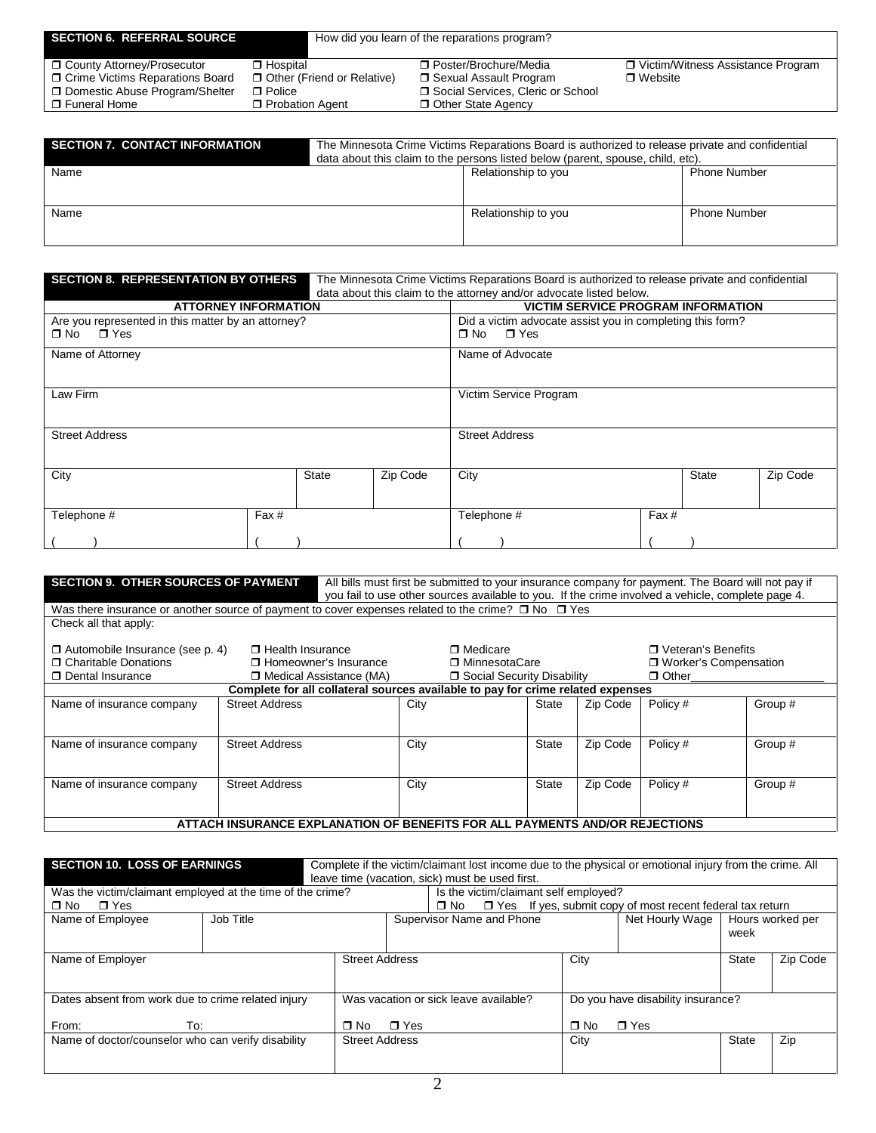| <b>SECTION 6. REFERRAL SOURCE</b>                                                                                     |                                                                                | How did you learn of the reparations program?                                                                             |                                                       |  |  |  |  |  |
|-----------------------------------------------------------------------------------------------------------------------|--------------------------------------------------------------------------------|---------------------------------------------------------------------------------------------------------------------------|-------------------------------------------------------|--|--|--|--|--|
| □ County Attorney/Prosecutor<br>□ Crime Victims Reparations Board<br>Domestic Abuse Program/Shelter<br>□ Funeral Home | □ Hospital<br>Other (Friend or Relative)<br>$\Box$ Police<br>□ Probation Agent | □ Poster/Brochure/Media<br>□ Sexual Assault Program<br>□ Social Services, Cleric or School<br><b>D</b> Other State Agency | □ Victim/Witness Assistance Program<br>$\Box$ Website |  |  |  |  |  |

| <b>SECTION 7. CONTACT INFORMATION</b> | The Minnesota Crime Victims Reparations Board is authorized to release private and confidential<br>data about this claim to the persons listed below (parent, spouse, child, etc). |                     |                     |  |  |  |
|---------------------------------------|------------------------------------------------------------------------------------------------------------------------------------------------------------------------------------|---------------------|---------------------|--|--|--|
| Name                                  |                                                                                                                                                                                    | Relationship to you | <b>Phone Number</b> |  |  |  |
|                                       |                                                                                                                                                                                    |                     |                     |  |  |  |
| Name                                  |                                                                                                                                                                                    | Relationship to you | <b>Phone Number</b> |  |  |  |
|                                       |                                                                                                                                                                                    |                     |                     |  |  |  |

| <b>SECTION 8. REPRESENTATION BY OTHERS</b>         |              | The Minnesota Crime Victims Reparations Board is authorized to release private and confidential |                                                                     |  |  |  |  |  |
|----------------------------------------------------|--------------|-------------------------------------------------------------------------------------------------|---------------------------------------------------------------------|--|--|--|--|--|
|                                                    |              |                                                                                                 | data about this claim to the attorney and/or advocate listed below. |  |  |  |  |  |
| <b>ATTORNEY INFORMATION</b>                        |              |                                                                                                 | <b>VICTIM SERVICE PROGRAM INFORMATION</b>                           |  |  |  |  |  |
| Are you represented in this matter by an attorney? |              |                                                                                                 | Did a victim advocate assist you in completing this form?           |  |  |  |  |  |
| $\Box$ No $\Box$ Yes                               |              |                                                                                                 | ⊟ Yes<br>∩ No                                                       |  |  |  |  |  |
| Name of Attorney                                   |              |                                                                                                 | Name of Advocate                                                    |  |  |  |  |  |
|                                                    |              |                                                                                                 |                                                                     |  |  |  |  |  |
| Law Firm                                           |              |                                                                                                 | Victim Service Program                                              |  |  |  |  |  |
|                                                    |              |                                                                                                 |                                                                     |  |  |  |  |  |
| <b>Street Address</b>                              |              |                                                                                                 | <b>Street Address</b>                                               |  |  |  |  |  |
|                                                    |              |                                                                                                 |                                                                     |  |  |  |  |  |
| City                                               | <b>State</b> | Zip Code                                                                                        | Zip Code<br>City<br><b>State</b>                                    |  |  |  |  |  |
|                                                    |              |                                                                                                 |                                                                     |  |  |  |  |  |
| Telephone #<br>Fax #                               |              |                                                                                                 | Fax #<br>Telephone #                                                |  |  |  |  |  |
|                                                    |              |                                                                                                 |                                                                     |  |  |  |  |  |
|                                                    |              |                                                                                                 |                                                                     |  |  |  |  |  |

| <b>SECTION 9. OTHER SOURCES OF PAYMENT</b>                                                                    |                                                                             | All bills must first be submitted to your insurance company for payment. The Board will not pay if<br>you fail to use other sources available to you. If the crime involved a vehicle, complete page 4. |                              |          |                         |         |
|---------------------------------------------------------------------------------------------------------------|-----------------------------------------------------------------------------|---------------------------------------------------------------------------------------------------------------------------------------------------------------------------------------------------------|------------------------------|----------|-------------------------|---------|
| Was there insurance or another source of payment to cover expenses related to the crime? $\Box$ No $\Box$ Yes |                                                                             |                                                                                                                                                                                                         |                              |          |                         |         |
| Check all that apply:                                                                                         |                                                                             |                                                                                                                                                                                                         |                              |          |                         |         |
| $\Box$ Automobile Insurance (see p. 4)                                                                        | $\Box$ Health Insurance                                                     | $\blacksquare$ Medicare                                                                                                                                                                                 |                              |          | □ Veteran's Benefits    |         |
| <b>T</b> Charitable Donations                                                                                 | <b>T</b> Homeowner's Insurance                                              |                                                                                                                                                                                                         | □ MinnesotaCare              |          | □ Worker's Compensation |         |
| Dental Insurance                                                                                              | □ Medical Assistance (MA)                                                   |                                                                                                                                                                                                         | □ Social Security Disability |          | $\Box$ Other            |         |
|                                                                                                               |                                                                             | Complete for all collateral sources available to pay for crime related expenses                                                                                                                         |                              |          |                         |         |
| Name of insurance company                                                                                     | <b>Street Address</b>                                                       | City                                                                                                                                                                                                    | State                        | Zip Code | Policy #                | Group # |
| Name of insurance company                                                                                     | <b>Street Address</b>                                                       | City                                                                                                                                                                                                    | State                        | Zip Code | Policy #                | Group # |
| Name of insurance company                                                                                     | <b>Street Address</b>                                                       | City                                                                                                                                                                                                    | <b>State</b>                 | Zip Code | Policy #                | Group # |
|                                                                                                               | ATTACH INSURANCE EXPLANATION OF BENEFITS FOR ALL PAYMENTS AND/OR REJECTIONS |                                                                                                                                                                                                         |                              |          |                         |         |

| <b>SECTION 10. LOSS OF EARNINGS</b>                        |           |                       | Complete if the victim/claimant lost income due to the physical or emotional injury from the crime. All<br>leave time (vacation, sick) must be used first.<br>Is the victim/claimant self employed? |                                       |  |  |           |                                                                  |              |                  |
|------------------------------------------------------------|-----------|-----------------------|-----------------------------------------------------------------------------------------------------------------------------------------------------------------------------------------------------|---------------------------------------|--|--|-----------|------------------------------------------------------------------|--------------|------------------|
| Was the victim/claimant employed at the time of the crime? |           |                       |                                                                                                                                                                                                     |                                       |  |  |           |                                                                  |              |                  |
| $\blacksquare$ Yes<br>$\Box$ No                            |           |                       |                                                                                                                                                                                                     | ∩ No                                  |  |  |           | $\Box$ Yes If yes, submit copy of most recent federal tax return |              |                  |
| Name of Employee                                           | Job Title |                       |                                                                                                                                                                                                     | Supervisor Name and Phone             |  |  |           | Net Hourly Wage                                                  | week         | Hours worked per |
| Name of Employer                                           |           | <b>Street Address</b> |                                                                                                                                                                                                     |                                       |  |  | City      |                                                                  | <b>State</b> | Zip Code         |
| Dates absent from work due to crime related injury         |           |                       |                                                                                                                                                                                                     | Was vacation or sick leave available? |  |  |           | Do you have disability insurance?                                |              |                  |
| From:<br>To:                                               |           | $\Box$ No             | $\blacksquare$ Yes                                                                                                                                                                                  |                                       |  |  | $\Box$ No | $\blacksquare$ Yes                                               |              |                  |
| Name of doctor/counselor who can verify disability         |           | <b>Street Address</b> |                                                                                                                                                                                                     |                                       |  |  | City      |                                                                  | <b>State</b> | Zip              |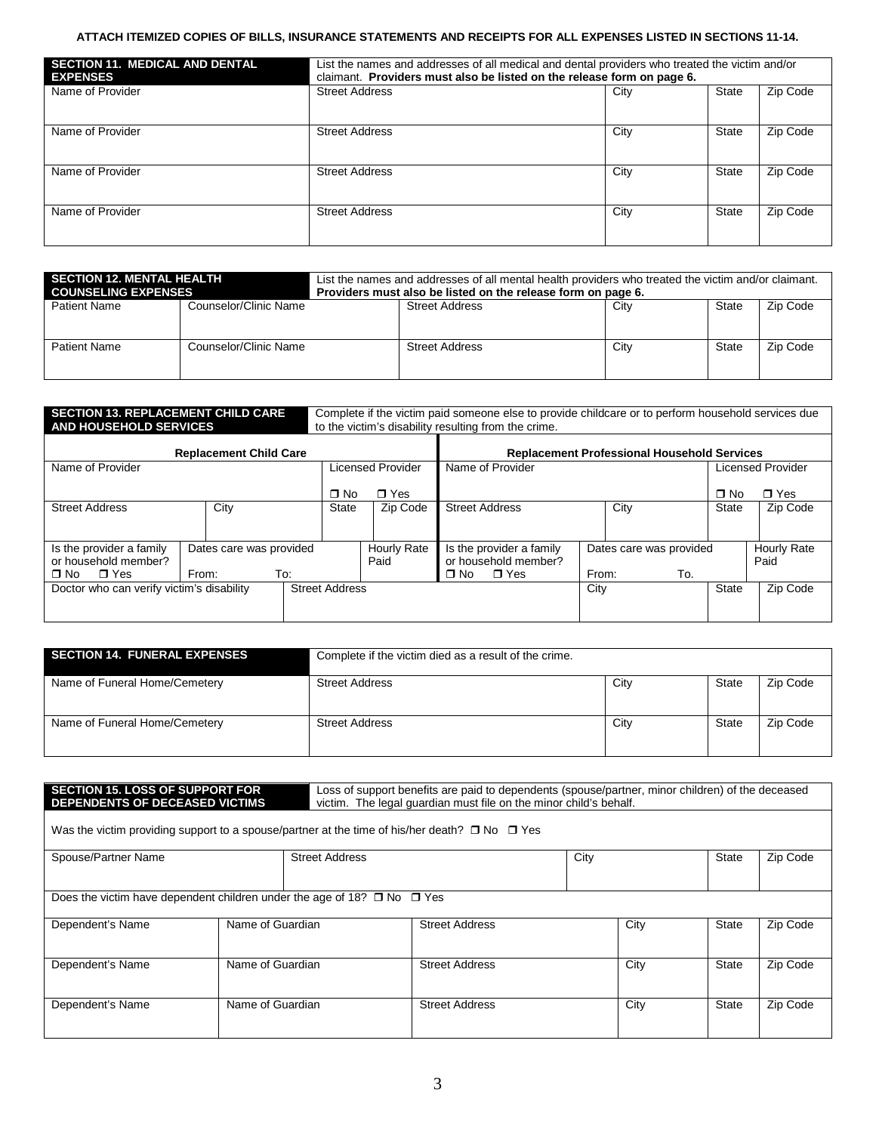### **ATTACH ITEMIZED COPIES OF BILLS, INSURANCE STATEMENTS AND RECEIPTS FOR ALL EXPENSES LISTED IN SECTIONS 11-14.**

| <b>SECTION 11. MEDICAL AND DENTAL</b><br><b>EXPENSES</b> | List the names and addresses of all medical and dental providers who treated the victim and/or<br>claimant. Providers must also be listed on the release form on page 6. |      |              |          |  |  |  |
|----------------------------------------------------------|--------------------------------------------------------------------------------------------------------------------------------------------------------------------------|------|--------------|----------|--|--|--|
| Name of Provider                                         | <b>Street Address</b>                                                                                                                                                    | City | State        | Zip Code |  |  |  |
| Name of Provider                                         | <b>Street Address</b>                                                                                                                                                    | City | State        | Zip Code |  |  |  |
| Name of Provider                                         | <b>Street Address</b>                                                                                                                                                    | City | State        | Zip Code |  |  |  |
| Name of Provider                                         | <b>Street Address</b>                                                                                                                                                    | City | <b>State</b> | Zip Code |  |  |  |

| <b>SECTION 12. MENTAL HEALTH</b><br><b>COUNSELING EXPENSES</b> |                       | List the names and addresses of all mental health providers who treated the victim and/or claimant.<br>Providers must also be listed on the release form on page 6. |      |       |          |
|----------------------------------------------------------------|-----------------------|---------------------------------------------------------------------------------------------------------------------------------------------------------------------|------|-------|----------|
| <b>Patient Name</b>                                            | Counselor/Clinic Name | <b>Street Address</b>                                                                                                                                               | City | State | Zip Code |
| <b>Patient Name</b>                                            | Counselor/Clinic Name | <b>Street Address</b>                                                                                                                                               | City | State | Zip Code |

| <b>SECTION 13. REPLACEMENT CHILD CARE</b><br><b>AND HOUSEHOLD SERVICES</b> |       |                         |                       |           |                                                    | Complete if the victim paid someone else to provide childcare or to perform household services due<br>to the victim's disability resulting from the crime. |       |                         |              |                    |
|----------------------------------------------------------------------------|-------|-------------------------|-----------------------|-----------|----------------------------------------------------|------------------------------------------------------------------------------------------------------------------------------------------------------------|-------|-------------------------|--------------|--------------------|
| <b>Replacement Child Care</b>                                              |       |                         |                       |           | <b>Replacement Professional Household Services</b> |                                                                                                                                                            |       |                         |              |                    |
| Name of Provider                                                           |       |                         |                       |           | <b>Licensed Provider</b>                           | Name of Provider                                                                                                                                           |       |                         |              | Licensed Provider  |
|                                                                            |       |                         |                       | $\Box$ No | $\blacksquare$ Yes                                 |                                                                                                                                                            |       |                         | $\Box$ No    | $\blacksquare$ Yes |
| <b>Street Address</b>                                                      |       | City                    |                       | State     | Zip Code                                           | <b>Street Address</b>                                                                                                                                      |       | City                    | <b>State</b> | Zip Code           |
|                                                                            |       |                         |                       |           |                                                    |                                                                                                                                                            |       |                         |              |                    |
| Is the provider a family                                                   |       | Dates care was provided |                       |           | Hourly Rate                                        | Is the provider a family                                                                                                                                   |       | Dates care was provided |              | Hourly Rate        |
| or household member?                                                       |       |                         |                       |           | Paid                                               | or household member?                                                                                                                                       |       |                         |              | Paid               |
| $\blacksquare$ Yes<br>$\blacksquare$ No                                    | From: | To:                     |                       |           |                                                    | $\blacksquare$ Yes<br>∩ No                                                                                                                                 | From: | To.                     |              |                    |
| Doctor who can verify victim's disability                                  |       |                         | <b>Street Address</b> |           |                                                    |                                                                                                                                                            | City  |                         | Zip Code     |                    |
|                                                                            |       |                         |                       |           |                                                    |                                                                                                                                                            |       |                         |              |                    |

| <b>SECTION 14. FUNERAL EXPENSES</b> | Complete if the victim died as a result of the crime. |      |       |          |
|-------------------------------------|-------------------------------------------------------|------|-------|----------|
| Name of Funeral Home/Cemetery       | <b>Street Address</b>                                 | City | State | Zip Code |
| Name of Funeral Home/Cemetery       | <b>Street Address</b>                                 | City | State | Zip Code |

|                                                                                   | <b>SECTION 15. LOSS OF SUPPORT FOR</b><br>Loss of support benefits are paid to dependents (spouse/partner, minor children) of the deceased<br>DEPENDENTS OF DECEASED VICTIMS<br>victim. The legal quardian must file on the minor child's behalf. |                       |                                                                                                         |  |      |       |          |  |  |  |  |
|-----------------------------------------------------------------------------------|---------------------------------------------------------------------------------------------------------------------------------------------------------------------------------------------------------------------------------------------------|-----------------------|---------------------------------------------------------------------------------------------------------|--|------|-------|----------|--|--|--|--|
|                                                                                   |                                                                                                                                                                                                                                                   |                       | Was the victim providing support to a spouse/partner at the time of his/her death? $\Box$ No $\Box$ Yes |  |      |       |          |  |  |  |  |
| Spouse/Partner Name                                                               |                                                                                                                                                                                                                                                   | <b>Street Address</b> | City                                                                                                    |  |      | State | Zip Code |  |  |  |  |
| Does the victim have dependent children under the age of 18? $\Box$ No $\Box$ Yes |                                                                                                                                                                                                                                                   |                       |                                                                                                         |  |      |       |          |  |  |  |  |
| Dependent's Name                                                                  | Name of Guardian                                                                                                                                                                                                                                  |                       | <b>Street Address</b>                                                                                   |  | City | State | Zip Code |  |  |  |  |
| Dependent's Name                                                                  | Name of Guardian                                                                                                                                                                                                                                  |                       | <b>Street Address</b>                                                                                   |  | City | State | Zip Code |  |  |  |  |
| Dependent's Name                                                                  | Name of Guardian                                                                                                                                                                                                                                  |                       | <b>Street Address</b>                                                                                   |  | City | State | Zip Code |  |  |  |  |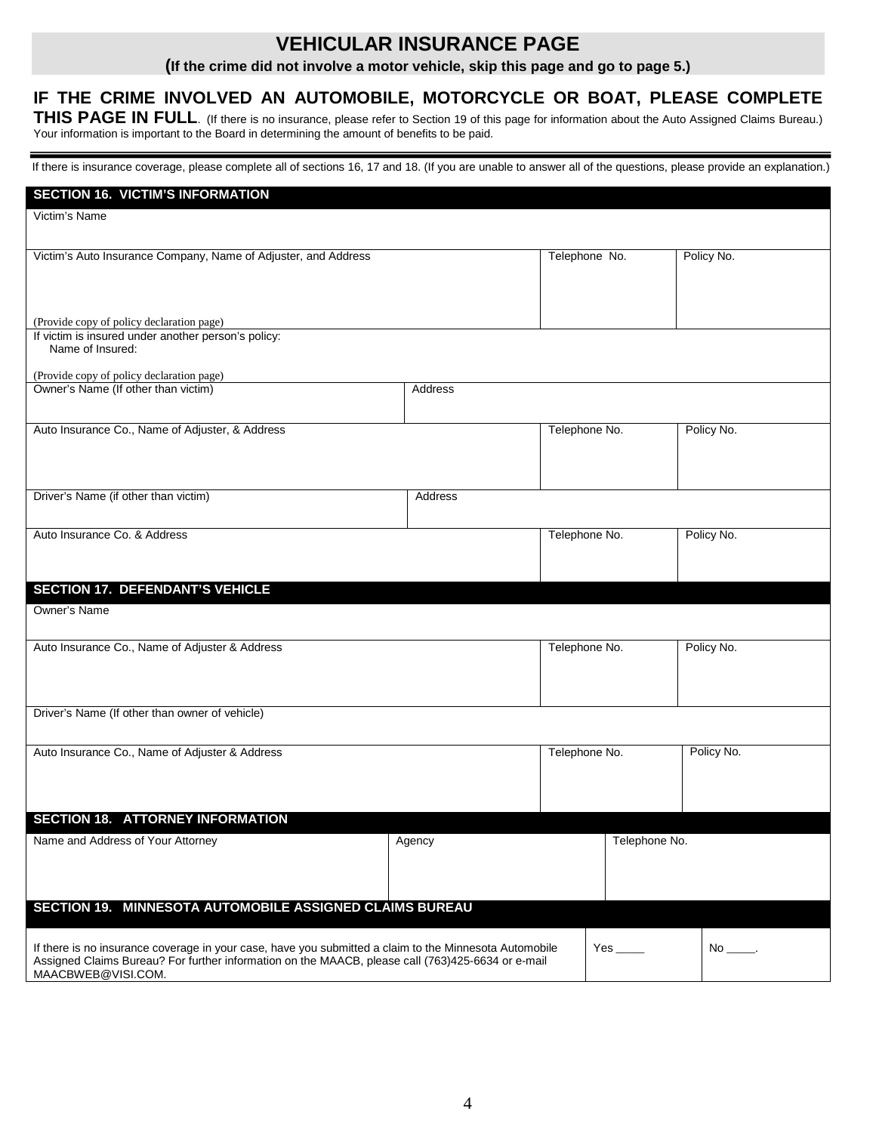## **VEHICULAR INSURANCE PAGE**

**(If the crime did not involve a motor vehicle, skip this page and go to page 5.)**

### **IF THE CRIME INVOLVED AN AUTOMOBILE, MOTORCYCLE OR BOAT, PLEASE COMPLETE**

THIS PAGE IN FULL. (If there is no insurance, please refer to Section 19 of this page for information about the Auto Assigned Claims Bureau.) Your information is important to the Board in determining the amount of benefits to be paid.

 $\overline{a}$ If there is insurance coverage, please complete all of sections 16, 17 and 18. (If you are unable to answer all of the questions, please provide an explanation.)

| <b>SECTION 16. VICTIM'S INFORMATION</b>                                                                                 |         |               |            |
|-------------------------------------------------------------------------------------------------------------------------|---------|---------------|------------|
| Victim's Name                                                                                                           |         |               |            |
|                                                                                                                         |         |               |            |
| Victim's Auto Insurance Company, Name of Adjuster, and Address                                                          |         | Telephone No. | Policy No. |
|                                                                                                                         |         |               |            |
|                                                                                                                         |         |               |            |
| (Provide copy of policy declaration page)                                                                               |         |               |            |
| If victim is insured under another person's policy:                                                                     |         |               |            |
| Name of Insured:                                                                                                        |         |               |            |
| (Provide copy of policy declaration page)                                                                               |         |               |            |
| Owner's Name (If other than victim)                                                                                     | Address |               |            |
|                                                                                                                         |         |               |            |
| Auto Insurance Co., Name of Adjuster, & Address                                                                         |         | Telephone No. | Policy No. |
|                                                                                                                         |         |               |            |
|                                                                                                                         |         |               |            |
|                                                                                                                         |         |               |            |
| Driver's Name (if other than victim)                                                                                    | Address |               |            |
|                                                                                                                         |         |               |            |
| Auto Insurance Co. & Address                                                                                            |         | Telephone No. | Policy No. |
|                                                                                                                         |         |               |            |
|                                                                                                                         |         |               |            |
| <b>SECTION 17. DEFENDANT'S VEHICLE</b>                                                                                  |         |               |            |
| Owner's Name                                                                                                            |         |               |            |
|                                                                                                                         |         |               |            |
| Auto Insurance Co., Name of Adjuster & Address                                                                          |         | Telephone No. | Policy No. |
|                                                                                                                         |         |               |            |
|                                                                                                                         |         |               |            |
| Driver's Name (If other than owner of vehicle)                                                                          |         |               |            |
|                                                                                                                         |         |               |            |
| Auto Insurance Co., Name of Adjuster & Address                                                                          |         | Telephone No. | Policy No. |
|                                                                                                                         |         |               |            |
|                                                                                                                         |         |               |            |
|                                                                                                                         |         |               |            |
| <b>SECTION 18. ATTORNEY INFORMATION</b>                                                                                 |         |               |            |
| Name and Address of Your Attorney                                                                                       | Agency  | Telephone No. |            |
|                                                                                                                         |         |               |            |
|                                                                                                                         |         |               |            |
| SECTION 19. MINNESOTA AUTOMOBILE ASSIGNED CLAIMS BUREAU                                                                 |         |               |            |
|                                                                                                                         |         |               |            |
| If there is no insurance coverage in your case, have you submitted a claim to the Minnesota Automobile<br>$No$ _______. |         |               |            |
| Assigned Claims Bureau? For further information on the MAACB, please call (763)425-6634 or e-mail                       |         |               |            |
| MAACBWEB@VISI.COM.                                                                                                      |         |               |            |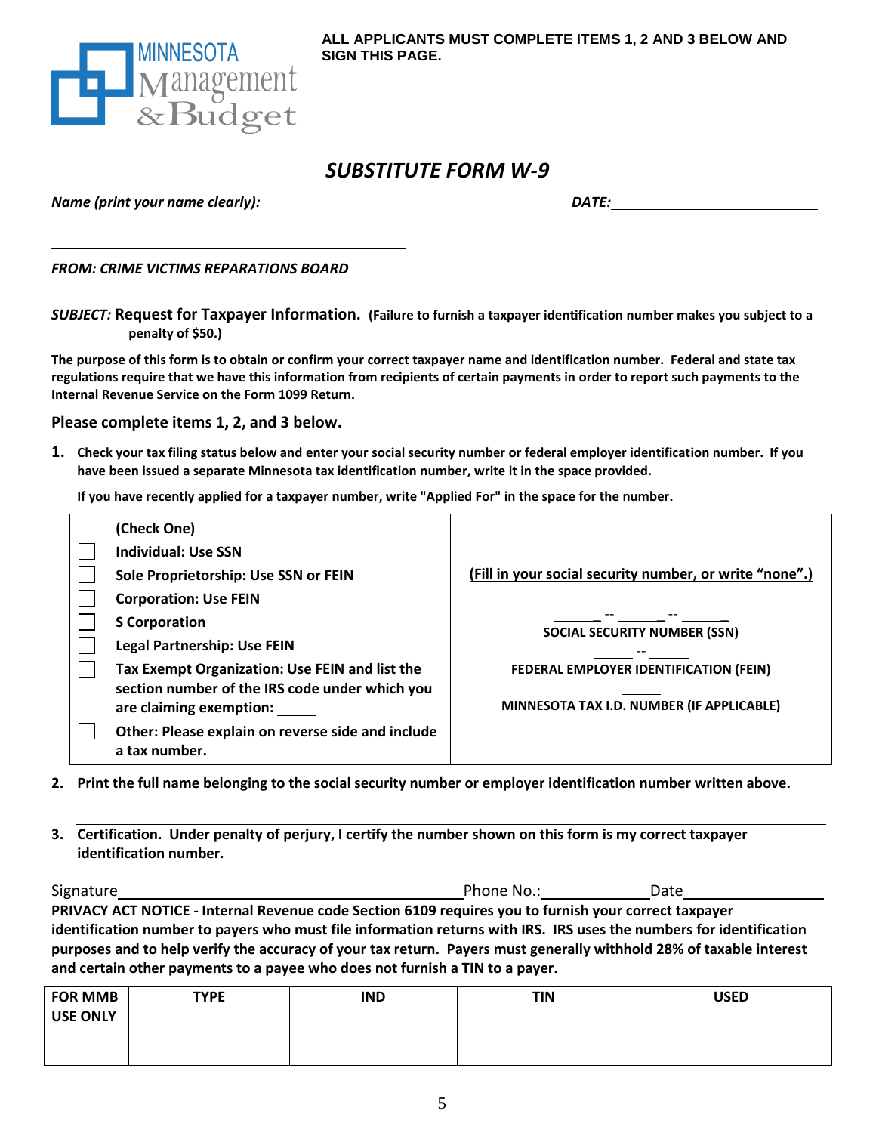

## *SUBSTITUTE FORM W-9*

*Name (print your name clearly):*

*DATE:*

*FROM: CRIME VICTIMS REPARATIONS BOARD*

*SUBJECT:* **Request for Taxpayer Information. (Failure to furnish a taxpayer identification number makes you subject to a penalty of \$50.)**

**The purpose of this form is to obtain or confirm your correct taxpayer name and identification number. Federal and state tax regulations require that we have this information from recipients of certain payments in order to report such payments to the Internal Revenue Service on the Form 1099 Return.**

**Please complete items 1, 2, and 3 below.** 

**1. Check your tax filing status below and enter your social security number or federal employer identification number. If you have been issued a separate Minnesota tax identification number, write it in the space provided.**

**If you have recently applied for a taxpayer number, write "Applied For" in the space for the number.**

| (Check One)                                                               |                                                         |
|---------------------------------------------------------------------------|---------------------------------------------------------|
| <b>Individual: Use SSN</b>                                                |                                                         |
| Sole Proprietorship: Use SSN or FEIN                                      | (Fill in your social security number, or write "none".) |
| <b>Corporation: Use FEIN</b>                                              |                                                         |
| <b>S</b> Corporation                                                      | <b>SOCIAL SECURITY NUMBER (SSN)</b>                     |
| <b>Legal Partnership: Use FEIN</b>                                        |                                                         |
| Tax Exempt Organization: Use FEIN and list the                            | FEDERAL EMPLOYER IDENTIFICATION (FEIN)                  |
| section number of the IRS code under which you<br>are claiming exemption: | MINNESOTA TAX I.D. NUMBER (IF APPLICABLE)               |
| Other: Please explain on reverse side and include<br>a tax number.        |                                                         |

**2. Print the full name belonging to the social security number or employer identification number written above.**

**3. Certification. Under penalty of perjury, I certify the number shown on this form is my correct taxpayer identification number.**

| Signature                                                                                                           | Phone No.: | Date |  |
|---------------------------------------------------------------------------------------------------------------------|------------|------|--|
| PRIVACY ACT NOTICE - Internal Revenue code Section 6109 requires you to furnish your correct taxpayer               |            |      |  |
| identification number to payers who must file information returns with IRS. IRS uses the numbers for identification |            |      |  |
| purposes and to help verify the accuracy of your tax return. Payers must generally withhold 28% of taxable interest |            |      |  |
| and certain other payments to a payee who does not furnish a TIN to a payer.                                        |            |      |  |

| <b>FOR MMB</b>  | <b>TYPE</b> | <b>IND</b> | <b>TIN</b> | <b>USED</b> |
|-----------------|-------------|------------|------------|-------------|
| <b>USE ONLY</b> |             |            |            |             |
|                 |             |            |            |             |
|                 |             |            |            |             |